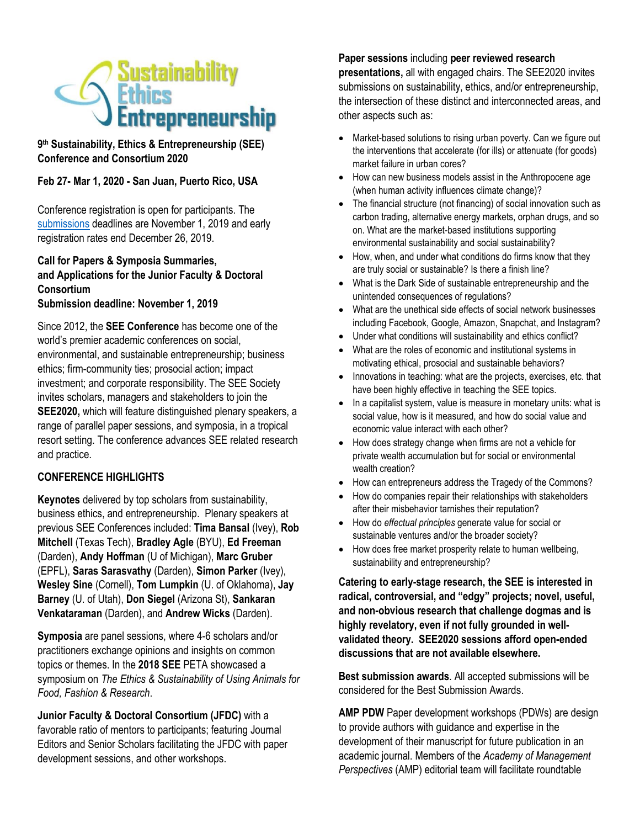# **) Sustainability<br>) Ethics<br>) Entrepreneurship**

**9 th Sustainability, Ethics & Entrepreneurship (SEE) Conference and Consortium 2020**

**Feb 27- Mar 1, 2020 - San Juan, Puerto Rico, USA**

Conference registration is open for participants. The [submissions](https://cmt3.research.microsoft.com/SEE2020) deadlines are November 1, 2019 and early registration rates end December 26, 2019.

## **Call for Papers & Symposia Summaries, and Applications for the Junior Faculty & Doctoral Consortium**

#### **Submission deadline: November 1, 2019**

Since 2012, the **SEE Conference** has become one of the world's premier academic conferences on social, environmental, and sustainable entrepreneurship; business ethics; firm-community ties; prosocial action; impact investment; and corporate responsibility. The SEE Society invites scholars, managers and stakeholders to join the **SEE2020,** which will feature distinguished plenary speakers, a range of parallel paper sessions, and symposia, in a tropical resort setting. The conference advances SEE related research and practice.

### **CONFERENCE HIGHLIGHTS**

**Keynotes** delivered by top scholars from sustainability, business ethics, and entrepreneurship. Plenary speakers at previous SEE Conferences included: **Tima Bansal** (Ivey), **Rob Mitchell** (Texas Tech), **Bradley Agle** (BYU), **Ed Freeman** (Darden), **Andy Hoffman** (U of Michigan), **Marc Gruber** (EPFL), **Saras Sarasvathy** (Darden), **Simon Parker** (Ivey), **Wesley Sine** (Cornell), **Tom Lumpkin** (U. of Oklahoma), **Jay Barney** (U. of Utah), **Don Siegel** (Arizona St), **Sankaran Venkataraman** (Darden), and **Andrew Wicks** (Darden).

**Symposia** are panel sessions, where 4-6 scholars and/or practitioners exchange opinions and insights on common topics or themes. In the **2018 SEE** PETA showcased a symposium on *The Ethics & Sustainability of Using Animals for Food, Fashion & Research*.

**Junior Faculty & Doctoral Consortium (JFDC)** with a favorable ratio of mentors to participants; featuring Journal Editors and Senior Scholars facilitating the JFDC with paper development sessions, and other workshops.

#### **Paper sessions** including **peer reviewed research**

**presentations,** all with engaged chairs. The SEE2020 invites submissions on sustainability, ethics, and/or entrepreneurship, the intersection of these distinct and interconnected areas, and other aspects such as:

- Market-based solutions to rising urban poverty. Can we figure out the interventions that accelerate (for ills) or attenuate (for goods) market failure in urban cores?
- How can new business models assist in the Anthropocene age (when human activity influences climate change)?
- The financial structure (not financing) of social innovation such as carbon trading, alternative energy markets, orphan drugs, and so on. What are the market-based institutions supporting environmental sustainability and social sustainability?
- How, when, and under what conditions do firms know that they are truly social or sustainable? Is there a finish line?
- What is the Dark Side of sustainable entrepreneurship and the unintended consequences of regulations?
- What are the unethical side effects of social network businesses including Facebook, Google, Amazon, Snapchat, and Instagram?
- Under what conditions will sustainability and ethics conflict?
- What are the roles of economic and institutional systems in motivating ethical, prosocial and sustainable behaviors?
- Innovations in teaching: what are the projects, exercises, etc. that have been highly effective in teaching the SEE topics.
- In a capitalist system, value is measure in monetary units: what is social value, how is it measured, and how do social value and economic value interact with each other?
- How does strategy change when firms are not a vehicle for private wealth accumulation but for social or environmental wealth creation?
- How can entrepreneurs address the Tragedy of the Commons?
- How do companies repair their relationships with stakeholders after their misbehavior tarnishes their reputation?
- How do *effectual principles* generate value for social or sustainable ventures and/or the broader society?
- How does free market prosperity relate to human wellbeing, sustainability and entrepreneurship?

**Catering to early-stage research, the SEE is interested in radical, controversial, and "edgy" projects; novel, useful, and non-obvious research that challenge dogmas and is highly revelatory, even if not fully grounded in wellvalidated theory. SEE2020 sessions afford open-ended discussions that are not available elsewhere.**

**Best submission awards**. All accepted submissions will be considered for the Best Submission Awards.

**AMP PDW** Paper development workshops (PDWs) are design to provide authors with guidance and expertise in the development of their manuscript for future publication in an academic journal. Members of the *Academy of Management Perspectives* (AMP) editorial team will facilitate roundtable